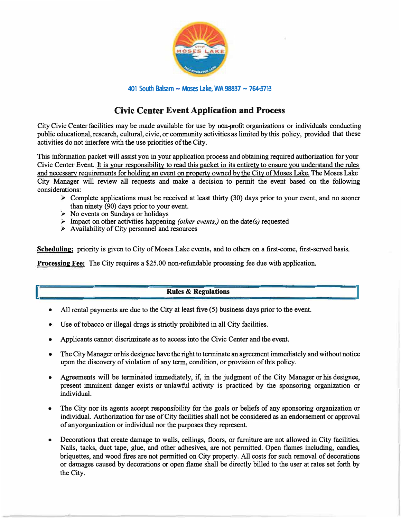

**<sup>401</sup> South Balsam - Moses Lake, WA 98837 - 7�3713**

# **Civic Center EventApplication and Process**

City Civic Centerfacilities may be made available for use by non-profit organizations or individuals conducting public educational, research, cultural, civic, or community activities as limited by this policy, provided that these activities do not interfere with the use priorities of the City.

This information packet will assist you in yourapplication process and obtaining required authorization for your Civic Center Event. It is your responsibility to read this packet in its entirety to ensure you understand the rules and necessary requirements for holding an event on property owned by the City of Moses Lake. The Moses Lake City Manager will review all requests and make a decision to permit the event based on the following considerations:

- $\geq$  Complete applications must be received at least thirty (30) days prior to your event, and no sooner than ninety (90) days prior to your event.
- ► No events on Sundays or holidays

I

- ► Impact on other activities happening *(other events,)* on the date(s) requested
- $\triangleright$  Availability of City personnel and resources

**Scheduling:** priority is given to City of Moses Lake events, and to others on a first-come, first-served basis.

**Processing Fee:** The City requires a \$25.00 non-refundable processing fee due with application.

### **Rules & Regulations**

**i** 

- All rental payments are due to the City at least five (5) business days prior to the event.
- Use of tobacco or illegal drugs is strictly prohibited in all City facilities.
- •Applicants cannot discriminate as to access into the Civic Center and the event.
- • The City Manager or his designee have the right to terminate an agreement immediately and without notice upon the discovery of violation of any term, condition, or provision of this policy.
- Agreements will be terminated immediately, if, in the judgment of the City Manager or his designee, present imminent danger exists or unlawful activity is practiced by the sponsoring organization or individual.
- • The City nor its agents accept responsibility for the goals or beliefs of any sponsoring organization or individual. Authorization for use of City facilities shall not be considered as an endorsement or approval of anyorganization or individual nor the purposes they represent.
- Decorations that create damage to walls, ceilings, floors, or furniture are not allowed in City facilities. Nails, tacks, duct tape, glue, and other adhesives, are not permitted. Open flames including, candles, briquettes, and wood fires are not permitted on City property. All costs for such removal of decorations or damages caused by decorations or open flame shall be directly billed to the user at rates set forth by the City.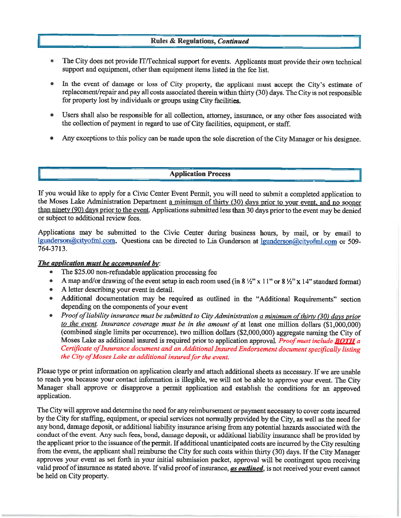### **Rules & Regulations, Continued**

- The City does not provide IT/Technical support for events. Applicants must provide their own technical support and equipment, other than equipment items listed in the fee list.
- In the event of damage or loss of City property, the applicant must accept the City's estimate of  $\bullet$ replacement/repair and pay all costs associated therein within thirty (30) days. The City is not responsible for property lost by individuals or groups using City facilities.
- Users shall also be responsible for all collection, attorney, insurance, or any other fees associated with the collection of payment in regard to use of City facilities, equipment, or staff.
- Any exceptions to this policy can be made upon the sole discretion of the City Manager or his designee.

### **Application Process**

If you would like to apply for a Civic Center Event Permit, you will need to submit a completed application to the Moses Lake Administration Department a minimum of thirty (30) days prior to your event, and no sooner than ninety (90) days prior to the event. Applications submitted less than 30 days prior to the event may be denied or subject to additional review fees.

Applications may be submitted to the Civic Center during business hours, by mail, or by email to Igunderson@cityofml.com. Questions can be directed to Lia Gunderson at lgunderson@cityofml.com or 509-764-3713.

### The application must be accompanied by:

- $\bullet$ The \$25.00 non-refundable application processing fee
- A map and/or drawing of the event setup in each room used (in  $8\frac{1}{2}$ " x 11" or  $8\frac{1}{2}$ " x 14" standard format)  $\bullet$
- A letter describing your event in detail.
- Additional documentation may be required as outlined in the "Additional Requirements" section  $\bullet$ depending on the components of your event
- Proof of liability insurance must be submitted to City Administration a minimum of thirty (30) days prior to the event. Insurance coverage must be in the amount of at least one million dollars  $(1,000,000)$ (combined single limits per occurrence), two million dollars (\$2,000,000) aggregate naming the City of Moses Lake as additional insured is required prior to application approval. *Proof must include BOTH a* Certificate of Insurance document and an Additional Insured Endorsement document specifically listing the City of Moses Lake as additional insured for the event.

Please type or print information on application clearly and attach additional sheets as necessary. If we are unable to reach you because your contact information is illegible, we will not be able to approve your event. The City Manager shall approve or disapprove a permit application and establish the conditions for an approved application.

The City will approve and determine the need for any reimbursement or payment necessary to cover costs incurred by the City for staffing, equipment, or special services not normally provided by the City, as well as the need for any bond, damage deposit, or additional liability insurance arising from any potential hazards associated with the conduct of the event. Any such fees, bond, damage deposit, or additional liability insurance shall be provided by the applicant prior to the issuance of the permit. If additional unanticipated costs are incurred by the City resulting from the event, the applicant shall reimburse the City for such costs within thirty (30) days. If the City Manager approves your event as set forth in your initial submission packet, approval will be contingent upon receiving valid proof of insurance as stated above. If valid proof of insurance, as outlined, is not received your event cannot be held on City property.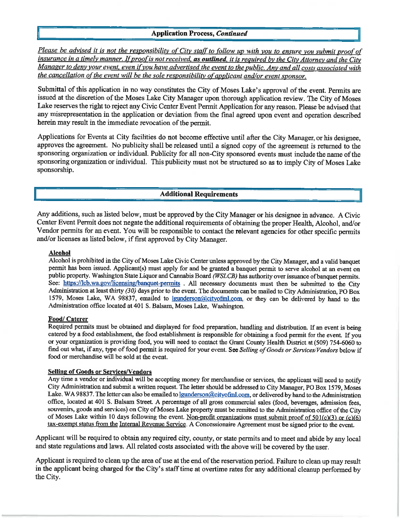### **Application Process. Continued**

Please be advised it is not the responsibility of City staff to follow up with you to ensure you submit proof of insurance in a timely manner. If proof is not received, as outlined, it is required by the City Attorney and the City Manager to deny your event, even if you have advertised the event to the public. Any and all costs associated with the cancellation of the event will be the sole responsibility of applicant and/or event sponsor.

Submittal of this application in no way constitutes the City of Moses Lake's approval of the event. Permits are issued at the discretion of the Moses Lake City Manager upon thorough application review. The City of Moses Lake reserves the right to reject any Civic Center Event Permit Application for any reason. Please be advised that any misrepresentation in the application or deviation from the final agreed upon event and operation described herein may result in the immediate revocation of the permit.

Applications for Events at City facilities do not become effective until after the City Manager or his designee. approves the agreement. No publicity shall be released until a signed copy of the agreement is returned to the sponsoring organization or individual. Publicity for all non-City sponsored events must include the name of the sponsoring organization or individual. This publicity must not be structured so as to imply City of Moses Lake sponsorship.

### **Additional Requirements**

Any additions, such as listed below, must be approved by the City Manager or his designee in advance. A Civic Center Event Permit does not negate the additional requirements of obtaining the proper Health, Alcohol, and/or Vendor permits for an event. You will be responsible to contact the relevant agencies for other specific permits and/or licenses as listed below, if first approved by City Manager.

#### **Alcohol**

Alcohol is prohibited in the City of Moses Lake Civic Center unless approved by the City Manager, and a valid banquet permit has been issued. Applicant(s) must apply for and be granted a banquet permit to serve alcohol at an event on public property. Washington State Liquor and Cannabis Board (WSLCB) has authority over issuance of banquet permits. See: https://lcb.wa.gov/licensing/banquet-permits. All necessary documents must then be submitted to the City Administration at least thirty (30) days prior to the event. The documents can be mailed to City Administration, PO Box 1579. Moses Lake, WA 98837, emailed to lounderson@cityofml.com, or they can be delivered by hand to the Administration office located at 401 S. Balsam, Moses Lake, Washington.

#### Food/ Caterer

Required permits must be obtained and displayed for food preparation, handling and distribution. If an event is being catered by a food establishment, the food establishment is responsible for obtaining a food permit for the event. If you or your organization is providing food, you will need to contact the Grant County Health District at (509) 754-6060 to find out what, if any, type of food permit is required for your event. See Selling of Goods or Services/Vendors below if food or merchandise will be sold at the event.

#### **Selling of Goods or Services/Vendors**

Any time a vendor or individual will be accepting money for merchandise or services, the applicant will need to notify City Administration and submit a written request. The letter should be addressed to City Manager, PO Box 1579, Moses Lake, WA 98837. The letter can also be emailed to <u>lgunderson@cityofml.com</u>, or delivered by hand to the Administration office, located at 401 S. Balsam Street. A percentage of all gross commercial sales (food, beverages, admission fees, souvenirs, goods and services) on City of Moses Lake property must be remitted to the Administration office of the City of Moses Lake within 10 days following the event. Non-profit organizations must submit proof of 501(c)(3) or (c)(6) tax-exempt status from the Internal Revenue Service. A Concessionaire Agreement must be signed prior to the event.

Applicant will be required to obtain any required city, county, or state permits and to meet and abide by any local and state regulations and laws. All related costs associated with the above will be covered by the user.

Applicant is required to clean up the area of use at the end of the reservation period. Failure to clean up may result in the applicant being charged for the City's staff time at overtime rates for any additional cleanup performed by the City.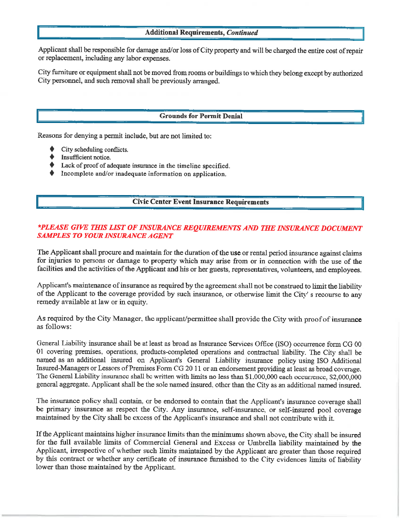### **Additional Requirements, Continued**

Applicant shall be responsible for damage and/or loss of City property and will be charged the entire cost of repair or replacement, including any labor expenses.

City furniture or equipment shall not be moved from rooms or buildings to which they belong except by authorized City personnel, and such removal shall be previously arranged.

### **Grounds for Permit Denial**

Reasons for denying a permit include, but are not limited to:

- City scheduling conflicts.
- Insufficient notice.
- Lack of proof of adequate insurance in the timeline specified.
- $\blacklozenge$  Incomplete and/or inadequate information on application.

### **Civic Center Event Insurance Requirements**

### \*PLEASE GIVE THIS LIST OF INSURANCE REQUIREMENTS AND THE INSURANCE DOCUMENT **SAMPLES TO YOUR INSURANCE AGENT**

The Applicant shall procure and maintain for the duration of the use or rental period insurance against claims for injuries to persons or damage to property which may arise from or in connection with the use of the facilities and the activities of the Applicant and his or her guests, representatives, volunteers, and employees.

Applicant's maintenance of insurance as required by the agreement shall not be construed to limit the liability of the Applicant to the coverage provided by such insurance, or otherwise limit the City's recourse to any remedy available at law or in equity.

As required by the City Manager, the applicant/permittee shall provide the City with proof of insurance as follows:

General Liability insurance shall be at least as broad as Insurance Services Office (ISO) occurrence form CG 00 01 covering premises, operations, products-completed operations and contractual liability. The City shall be named as an additional insured on Applicant's General Liability insurance policy using ISO Additional Insured-Managers or Lessors of Premises Form CG 20 11 or an endorsement providing at least as broad coverage. The General Liability insurance shall be written with limits no less than \$1,000,000 each occurrence, \$2,000,000 general aggregate. Applicant shall be the sole named insured, other than the City as an additional named insured.

The insurance policy shall contain, or be endorsed to contain that the Applicant's insurance coverage shall be primary insurance as respect the City. Any insurance, self-insurance, or self-insured pool coverage maintained by the City shall be excess of the Applicant's insurance and shall not contribute with it.

If the Applicant maintains higher insurance limits than the minimums shown above, the City shall be insured for the full available limits of Commercial General and Excess or Umbrella liability maintained by the Applicant, irrespective of whether such limits maintained by the Applicant are greater than those required by this contract or whether any certificate of insurance furnished to the City evidences limits of liability lower than those maintained by the Applicant.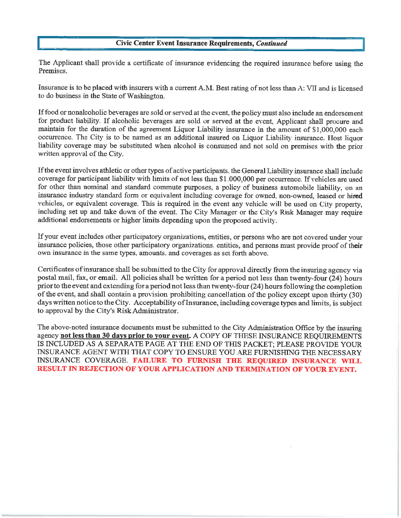### **Civic Center Event Insurance Requirements, Continued**

The Applicant shall provide a certificate of insurance evidencing the required insurance before using the Premises.

Insurance is to be placed with insurers with a current A.M. Best rating of not less than A: VII and is licensed to do business in the State of Washington.

If food or nonalcoholic beverages are sold or served at the event, the policy must also include an endorsement for product liability. If alcoholic beverages are sold or served at the event. Applicant shall procure and maintain for the duration of the agreement Liquor Liability insurance in the amount of \$1,000,000 each occurrence. The City is to be named as an additional insured on Liquor Liability insurance. Host liquor liability coverage may be substituted when alcohol is consumed and not sold on premises with the prior written approval of the City.

If the event involves athletic or other types of active participants, the General Liability insurance shall include coverage for participant liability with limits of not less than \$1,000,000 per occurrence. If vehicles are used for other than nominal and standard commute purposes, a policy of business automobile liability, on an insurance industry standard form or equivalent including coverage for owned, non-owned, leased or hired vehicles, or equivalent coverage. This is required in the event any vehicle will be used on City property, including set up and take down of the event. The City Manager or the City's Risk Manager may require additional endorsements or higher limits depending upon the proposed activity.

If your event includes other participatory organizations, entities, or persons who are not covered under your insurance policies, those other participatory organizations, entities, and persons must provide proof of their own insurance in the same types, amounts, and coverages as set forth above.

Certificates of insurance shall be submitted to the City for approval directly from the insuring agency via postal mail, fax, or email. All policies shall be written for a period not less than twenty-four (24) hours prior to the event and extending for a period not less than twenty-four (24) hours following the completion of the event, and shall contain a provision prohibiting cancellation of the policy except upon thirty (30) days written notice to the City. Acceptability of Insurance, including coverage types and limits, is subject to approval by the City's Risk Administrator.

The above-noted insurance documents must be submitted to the City Administration Office by the insuring agency not less than 30 days prior to your event. A COPY OF THESE INSURANCE REOUIREMENTS IS INCLUDED AS A SEPARATE PAGE AT THE END OF THIS PACKET; PLEASE PROVIDE YOUR INSURANCE AGENT WITH THAT COPY TO ENSURE YOU ARE FURNISHING THE NECESSARY INSURANCE COVERAGE. FAILURE TO FURNISH THE REQUIRED INSURANCE WILL RESULT IN REJECTION OF YOUR APPLICATION AND TERMINATION OF YOUR EVENT.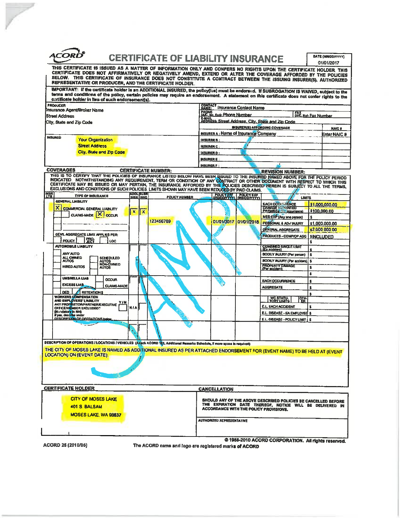| ACC                                                                                                                                  | DATE (MINIDDAYYY)<br><b>CERTIFICATE OF LIABILITY INSURANCE</b><br>01/01/2017<br>THIS CERTIFICATE IS ISSUED AS A MATTER OF INFORMATION ONLY AND CONFERS NO RIGHTS UPON THE CERTIFICATE HOLDER THIS                                                                                                                                                                  |  |  |  |
|--------------------------------------------------------------------------------------------------------------------------------------|--------------------------------------------------------------------------------------------------------------------------------------------------------------------------------------------------------------------------------------------------------------------------------------------------------------------------------------------------------------------|--|--|--|
| REPRESENTATIVE OR PRODUCER, AND THE CERTIFICATE HOLDER.                                                                              | CERTIFICATE DOES NOT AFFIRMATIVELY OR NEGATIVELY AMEND, EXTEND OR ALTER THE COVERAGE AFFORDED BY THE POLICIES<br>BELOW. THIS CERTIFICATE OF INSURANCE DOES NOT CONSTITUTE A CONTRACT BETWEEN THE ISSUING INSURER(S), AUTHORIZED                                                                                                                                    |  |  |  |
| certificate holder in lieu of such endorsement(s).                                                                                   | IMPORTANT: If the certificate holder is an ADDITIONAL INSURED, the policy(iss) must be endorsed. If SUBROGATION IS WAIVED, subject to the<br>terms and conditions of the policy, certain policies may require an endorsement. A statement on this certificate does not confer rights to the                                                                        |  |  |  |
| <b>PRODUCER</b><br>Insurance Agent/Broker Name<br><b>Street Address</b>                                                              | <b>CONTACT Insurance Contact Name</b><br>PHONE<br>LAC. No. Exil: Phone Number<br>E.M.All.<br>ADDRESS: Street Address, City, State and Zip Code<br>FAX<br>(A/C, No): Fax Number                                                                                                                                                                                     |  |  |  |
| City, State and Zip Code                                                                                                             | <b>INSURER(5) AFFORDING COVERAGE</b><br><b>NAIC #</b>                                                                                                                                                                                                                                                                                                              |  |  |  |
| <b>INSURED</b>                                                                                                                       | NSURER A: Name of Insurance Company<br>Enter NAIC #                                                                                                                                                                                                                                                                                                                |  |  |  |
| <b>Your Organization</b><br><b>Street Address</b>                                                                                    | <b>INSURER B:</b><br><b>INSURER C</b>                                                                                                                                                                                                                                                                                                                              |  |  |  |
| City, State and Zip Code                                                                                                             | <b>INSURER O:</b>                                                                                                                                                                                                                                                                                                                                                  |  |  |  |
|                                                                                                                                      | <b>INSURERE</b>                                                                                                                                                                                                                                                                                                                                                    |  |  |  |
| <b>COVERAGES</b><br><b>CERTIFICATE NUMBER:</b>                                                                                       | <b>INSURER F</b><br><b>REVISION NUMBER:</b>                                                                                                                                                                                                                                                                                                                        |  |  |  |
| EXCLUSIONS AND CONDITIONS OF SUCH POLICIES. LIMITS SHOWN MAY HAVE BEEN REDUCED BY PAID CLAIMS.                                       | THIS IS TO CERTIFY THAT THE POLICIES OF INSURANCE LISTED BELOW HAVE BEEN ISSUED TO THE INSURED NAMED ABOVE FOR THE POLICY PERIOD<br>INDICATED NOTWITHSTANDING ANY REQUIREMENT, TERM OR CONDITION OF ANY CONTRACT OR OTHER DOCUMENT WITH RESPECT TO WHICH THIS CERTIFICATE MAY BE ISSUED OR MAY PERTAIN, THE INSURANCE AFFORDED BY THE POLICIES DESCRIBED HEREIN IS |  |  |  |
| <b>INSR</b><br><b>ADOL SUBR</b><br>INSR <b>IWY</b> D<br><b>TYPE OF INSURANCE</b><br><b>POLICY NUMBER</b><br><b>GENERAL LIABILITY</b> | POLICY ET POLICY EXP<br>LIMITS                                                                                                                                                                                                                                                                                                                                     |  |  |  |
| ×<br><b>COMMERCIAL GENERAL LIABILITY</b><br>$\mathbf x$<br>ll x                                                                      | <b>EACH OCCURRENCE</b><br>\$1,000,000.00<br><b>DAMAGE 10 RENTED</b><br><b>PREMISES (Sa browrence)</b><br>\$100,000.00                                                                                                                                                                                                                                              |  |  |  |
| CLAIMS-MADE X OCCUR<br>123456789                                                                                                     | MED EIIP (Any one person)<br>s.<br>01/01/2017 01/01/2018                                                                                                                                                                                                                                                                                                           |  |  |  |
|                                                                                                                                      | PERSONAL & ADV INJURY<br>\$1,000,000.00<br>GÉNÉRAL AGGREGATE<br>\$2,000 000 00                                                                                                                                                                                                                                                                                     |  |  |  |
| GEN'L AGGREGATE LIMIT APPLIES PER:<br><b>POLICY</b>                                                                                  | PRODUCTS - COMP/OP AGG   SINCLUDED                                                                                                                                                                                                                                                                                                                                 |  |  |  |
| LOC<br><b>AUTOMOBILE LIABILITY</b>                                                                                                   | <b>COMBINED SINGLE LIMIT</b><br>(Ea accident)                                                                                                                                                                                                                                                                                                                      |  |  |  |
| ANY AUTO                                                                                                                             | <b>BODILY INJURY (Per person)</b><br>\$                                                                                                                                                                                                                                                                                                                            |  |  |  |
| ALL OWNED<br><b>SCHEDULED</b><br><b>ALTTOS</b><br>AUTOS<br>NON-CWNED<br>AUTOS                                                        | BODILY INJURY (Per accident).<br>s                                                                                                                                                                                                                                                                                                                                 |  |  |  |
| <b>HIRED AUTOS</b>                                                                                                                   | <b>PROPERTY DAMAGE</b><br>(Per accident)<br>Ś.<br>ŝ                                                                                                                                                                                                                                                                                                                |  |  |  |
| <b>UNBRELLA LIAB</b><br><b>OCCUR</b>                                                                                                 | <b>EACH OCCURRENCE</b>                                                                                                                                                                                                                                                                                                                                             |  |  |  |
| <b>EXCESS LIAB</b><br><b>CLAIMS-MADE</b>                                                                                             | <b>AGGREGATE</b><br>s                                                                                                                                                                                                                                                                                                                                              |  |  |  |
| <b>DED</b><br><b>RETENTIONS</b><br><b>WORKERS COMPENSATION</b>                                                                       |                                                                                                                                                                                                                                                                                                                                                                    |  |  |  |
| AND EMPLOYERS' LIMBILITY<br>ANY PROP NETOR/PARTNER/EXECUTIVE<br>OFFICE/WEMBER EXCLUDED?<br>Y/N                                       | WC STATU-<br>TORY LIMITS<br>PIN<br><b>E.L. EACH ACCIDENT</b>                                                                                                                                                                                                                                                                                                       |  |  |  |
| N/AI<br>(Mandatory in NH)<br>if yas, describe under                                                                                  | E.L. DISEASE - EA EMPLOYEE S                                                                                                                                                                                                                                                                                                                                       |  |  |  |
| <b>DESCRIPTION OF OPERATIONS helps</b>                                                                                               | E.L. DISEASE - POLICY LIMIT<br>s                                                                                                                                                                                                                                                                                                                                   |  |  |  |
|                                                                                                                                      |                                                                                                                                                                                                                                                                                                                                                                    |  |  |  |
| DESCRIPTION OF OPERATIONS I LOCATIONS / VEHICLES {Altach ACORD 101, Additional Remarks Schedule, if more space is required)          |                                                                                                                                                                                                                                                                                                                                                                    |  |  |  |
|                                                                                                                                      | THE CITY OF MOSES LAKE IS NAMED AS ADDITIONAL INSURED AS PER ATTACHED ENDORSEMENT FOR (EVENT NAME) TO BE HELD AT (EVENT                                                                                                                                                                                                                                            |  |  |  |
| <b>LOCATION) ON (EVENT DATE)</b>                                                                                                     |                                                                                                                                                                                                                                                                                                                                                                    |  |  |  |
|                                                                                                                                      |                                                                                                                                                                                                                                                                                                                                                                    |  |  |  |
| <b>CERTIFICATE HOLDER</b>                                                                                                            | <b>CANCELLATION</b>                                                                                                                                                                                                                                                                                                                                                |  |  |  |
| <b>CITY OF MOSES LAKE</b>                                                                                                            | SHOULD ANY OF THE ABOVE DESCRIBED POLICIES BE CANCELLED BEFORE                                                                                                                                                                                                                                                                                                     |  |  |  |
| 401 S BALSAM                                                                                                                         | THE EXPIRATION DATE THEREOF, NOTICE WILL BE DELIVERED IN<br><b>ACCORDANCE WITH THE POLICY PROVISIONS.</b>                                                                                                                                                                                                                                                          |  |  |  |
| MOSES LAKE, WA 98837                                                                                                                 | <b>AUTHORIZED REPRESENTATIVE</b>                                                                                                                                                                                                                                                                                                                                   |  |  |  |
|                                                                                                                                      |                                                                                                                                                                                                                                                                                                                                                                    |  |  |  |
|                                                                                                                                      |                                                                                                                                                                                                                                                                                                                                                                    |  |  |  |

ACORD 25 (2010/05)

 $\label{eq:2.1} \frac{1}{\sqrt{2\pi}}\int_0^1\frac{dx}{(x-y)^2}\,dx$ 

The ACORD name and logo are registered marks of ACORD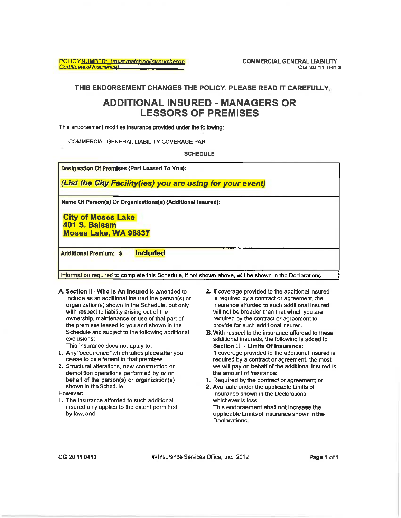POLICY NUMBER: (must match policy number on **Certificate of Insurance)** 

**COMMERCIAL GENERAL LIABILITY** CG 20 11 0413

THIS ENDORSEMENT CHANGES THE POLICY. PLEASE READ IT CAREFULLY.

## **ADDITIONAL INSURED - MANAGERS OR LESSORS OF PREMISES**

This endorsement modifies insurance provided under the following:

COMMERCIAL GENERAL LIABILITY COVERAGE PART

**SCHEDULE** 

**Designation Of Premises (Part Leased To You):** 

(List the City Facility(ies) you are using for your event)

Name Of Person(s) Or Organizations(s) (Additional Insured):

**City of Moses Lake** 401 S. Balsam **Moses Lake, WA 98837** 

**Included Additional Premium: \$** 

Information required to complete this Schedule, if not shown above, will be shown in the Declarations.

A. Section II - Who Is An Insured is amended to include as an additional insured the person(s) or organization(s) shown in the Schedule, but only with respect to liability arising out of the ownership, maintenance or use of that part of the premises leased to you and shown in the Schedule and subject to the following additional exclusions:

This insurance does not apply to:

- 1. Any "occurrence" which takes place after you cease to be a tenant in that premises.
- 2. Structural alterations, new construction or demolition operations performed by or on behalf of the person(s) or organization(s) shown in the Schedule.

However:

1. The insurance afforded to such additional insured only applies to the extent permitted by law; and

- 2. If coverage provided to the additional insured is required by a contract or agreement, the insurance afforded to such additional insured will not be broader than that which you are required by the contract or agreement to provide for such additional insured.
- **B.** With respect to the insurance afforded to these additional insureds, the following is added to Section Ill - Limits Of Insurance: If coverage provided to the additional insured is required by a contract or agreement, the most we will pay on behalf of the additional insured is the amount of insurance:
- 1. Required by the contract or agreement: or
- 2. Available under the applicable Limits of Insurance shown in the Declarations: whichever is less. This endorsement shall not increase the applicable Limits of Insurance shown in the **Declarations**

CG 20 11 0413

C Insurance Services Office, Inc., 2012

Page 1 of 1